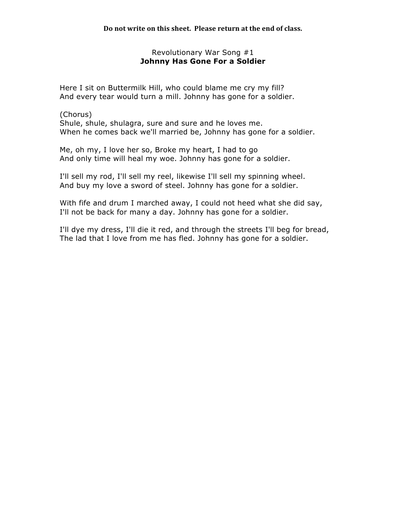# Revolutionary War Song #1 **Johnny Has Gone For a Soldier**

Here I sit on Buttermilk Hill, who could blame me cry my fill? And every tear would turn a mill. Johnny has gone for a soldier.

(Chorus) Shule, shule, shulagra, sure and sure and he loves me. When he comes back we'll married be, Johnny has gone for a soldier.

Me, oh my, I love her so, Broke my heart, I had to go And only time will heal my woe. Johnny has gone for a soldier.

I'll sell my rod, I'll sell my reel, likewise I'll sell my spinning wheel. And buy my love a sword of steel. Johnny has gone for a soldier.

With fife and drum I marched away, I could not heed what she did say, I'll not be back for many a day. Johnny has gone for a soldier.

I'll dye my dress, I'll die it red, and through the streets I'll beg for bread, The lad that I love from me has fled. Johnny has gone for a soldier.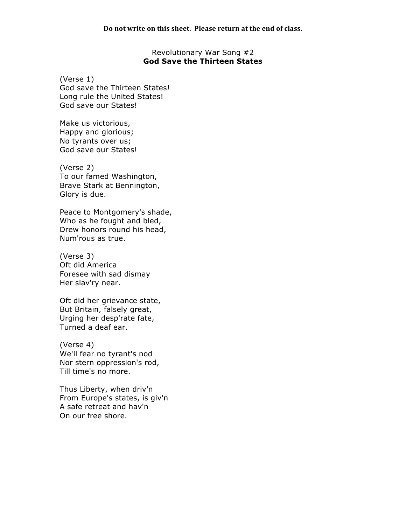#### Revolutionary War Song #2 **God Save the Thirteen States**

(Verse 1) God save the Thirteen States! Long rule the United States! God save our States!

Make us victorious, Happy and glorious; No tyrants over us; God save our States!

(Verse 2) To our famed Washington, Brave Stark at Bennington, Glory is due.

Peace to Montgomery's shade, Who as he fought and bled, Drew honors round his head, Num'rous as true.

(Verse 3) Oft did America Foresee with sad dismay Her slav'ry near.

Oft did her grievance state, But Britain, falsely great, Urging her desp'rate fate, Turned a deaf ear.

(Verse 4) We'll fear no tyrant's nod Nor stern oppression's rod, Till time's no more.

Thus Liberty, when driv'n From Europe's states, is giv'n A safe retreat and hav'n On our free shore.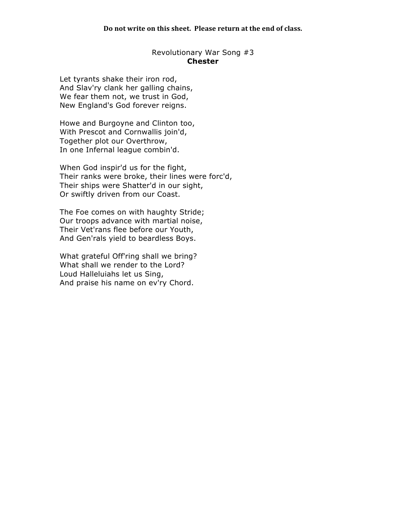# Revolutionary War Song #3 **Chester**

Let tyrants shake their iron rod, And Slav'ry clank her galling chains, We fear them not, we trust in God, New England's God forever reigns.

Howe and Burgoyne and Clinton too, With Prescot and Cornwallis join'd, Together plot our Overthrow, In one Infernal league combin'd.

When God inspir'd us for the fight, Their ranks were broke, their lines were forc'd, Their ships were Shatter'd in our sight, Or swiftly driven from our Coast.

The Foe comes on with haughty Stride; Our troops advance with martial noise, Their Vet'rans flee before our Youth, And Gen'rals yield to beardless Boys.

What grateful Off'ring shall we bring? What shall we render to the Lord? Loud Halleluiahs let us Sing, And praise his name on ev'ry Chord.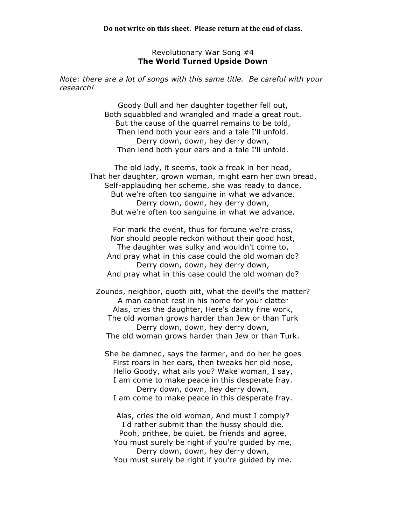#### Revolutionary War Song #4 **The World Turned Upside Down**

*Note: there are a lot of songs with this same title. Be careful with your research!*

> Goody Bull and her daughter together fell out, Both squabbled and wrangled and made a great rout. But the cause of the quarrel remains to be told, Then lend both your ears and a tale I'll unfold. Derry down, down, hey derry down, Then lend both your ears and a tale I'll unfold.

The old lady, it seems, took a freak in her head, That her daughter, grown woman, might earn her own bread, Self-applauding her scheme, she was ready to dance, But we're often too sanguine in what we advance. Derry down, down, hey derry down, But we're often too sanguine in what we advance.

For mark the event, thus for fortune we're cross, Nor should people reckon without their good host, The daughter was sulky and wouldn't come to, And pray what in this case could the old woman do? Derry down, down, hey derry down, And pray what in this case could the old woman do?

Zounds, neighbor, quoth pitt, what the devil's the matter? A man cannot rest in his home for your clatter Alas, cries the daughter, Here's dainty fine work, The old woman grows harder than Jew or than Turk Derry down, down, hey derry down, The old woman grows harder than Jew or than Turk.

She be damned, says the farmer, and do her he goes First roars in her ears, then tweaks her old nose, Hello Goody, what ails you? Wake woman, I say, I am come to make peace in this desperate fray. Derry down, down, hey derry down, I am come to make peace in this desperate fray.

Alas, cries the old woman, And must I comply? I'd rather submit than the hussy should die. Pooh, prithee, be quiet, be friends and agree, You must surely be right if you're guided by me, Derry down, down, hey derry down, You must surely be right if you're guided by me.